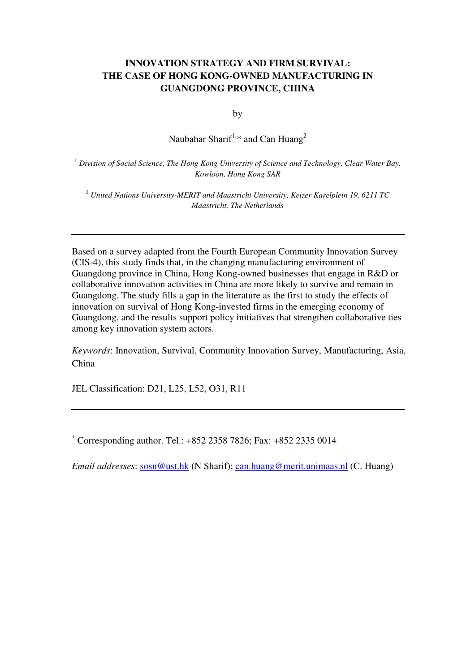# **INNOVATION STRATEGY AND FIRM SURVIVAL: THE CASE OF HONG KONG-OWNED MANUFACTURING IN GUANGDONG PROVINCE, CHINA**

by

Naubahar Sharif<sup>1,\*</sup> and Can Huang<sup>2</sup>

<sup>1</sup> *Division of Social Science, The Hong Kong University of Science and Technology, Clear Water Bay, Kowloon, Hong Kong SAR*

<sup>2</sup> *United Nations University-MERIT and Maastricht University, Keizer Karelplein 19, 6211 TC Maastricht, The Netherlands* 

Based on a survey adapted from the Fourth European Community Innovation Survey (CIS-4), this study finds that, in the changing manufacturing environment of Guangdong province in China, Hong Kong-owned businesses that engage in R&D or collaborative innovation activities in China are more likely to survive and remain in Guangdong. The study fills a gap in the literature as the first to study the effects of innovation on survival of Hong Kong-invested firms in the emerging economy of Guangdong, and the results support policy initiatives that strengthen collaborative ties among key innovation system actors.

*Keywords*: Innovation, Survival, Community Innovation Survey, Manufacturing, Asia, China

JEL Classification: D21, L25, L52, O31, R11

\* Corresponding author. Tel.: +852 2358 7826; Fax: +852 2335 0014

*Email addresses*: sosn@ust.hk (N Sharif); can.huang@merit.unimaas.nl (C. Huang)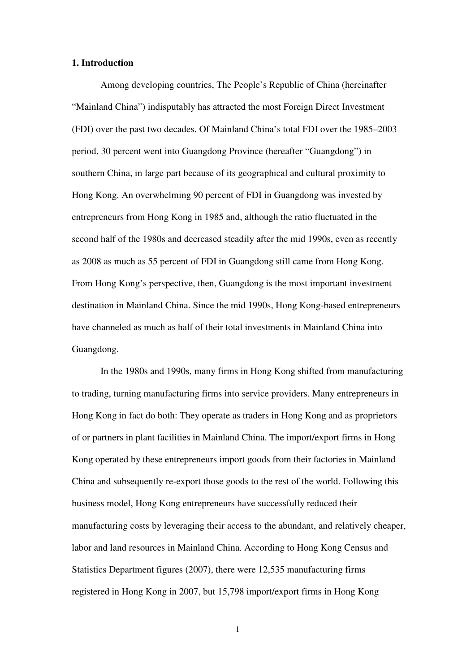#### **1. Introduction**

Among developing countries, The People's Republic of China (hereinafter "Mainland China") indisputably has attracted the most Foreign Direct Investment (FDI) over the past two decades. Of Mainland China's total FDI over the 1985–2003 period, 30 percent went into Guangdong Province (hereafter "Guangdong") in southern China, in large part because of its geographical and cultural proximity to Hong Kong. An overwhelming 90 percent of FDI in Guangdong was invested by entrepreneurs from Hong Kong in 1985 and, although the ratio fluctuated in the second half of the 1980s and decreased steadily after the mid 1990s, even as recently as 2008 as much as 55 percent of FDI in Guangdong still came from Hong Kong. From Hong Kong's perspective, then, Guangdong is the most important investment destination in Mainland China. Since the mid 1990s, Hong Kong-based entrepreneurs have channeled as much as half of their total investments in Mainland China into Guangdong.

In the 1980s and 1990s, many firms in Hong Kong shifted from manufacturing to trading, turning manufacturing firms into service providers. Many entrepreneurs in Hong Kong in fact do both: They operate as traders in Hong Kong and as proprietors of or partners in plant facilities in Mainland China. The import/export firms in Hong Kong operated by these entrepreneurs import goods from their factories in Mainland China and subsequently re-export those goods to the rest of the world. Following this business model, Hong Kong entrepreneurs have successfully reduced their manufacturing costs by leveraging their access to the abundant, and relatively cheaper, labor and land resources in Mainland China. According to Hong Kong Census and Statistics Department figures (2007), there were 12,535 manufacturing firms registered in Hong Kong in 2007, but 15,798 import/export firms in Hong Kong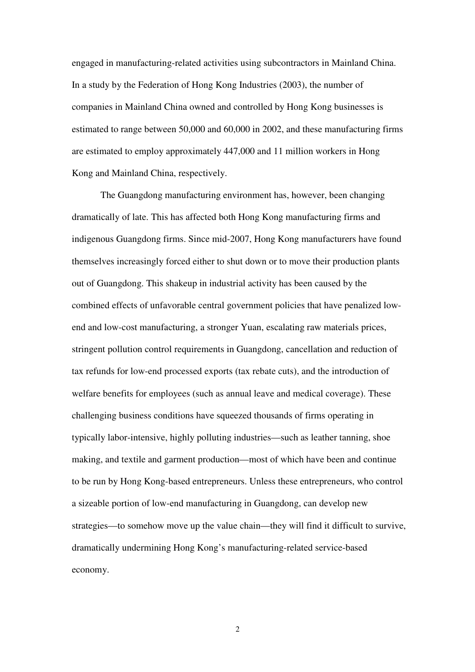engaged in manufacturing-related activities using subcontractors in Mainland China. In a study by the Federation of Hong Kong Industries (2003), the number of companies in Mainland China owned and controlled by Hong Kong businesses is estimated to range between 50,000 and 60,000 in 2002, and these manufacturing firms are estimated to employ approximately 447,000 and 11 million workers in Hong Kong and Mainland China, respectively.

The Guangdong manufacturing environment has, however, been changing dramatically of late. This has affected both Hong Kong manufacturing firms and indigenous Guangdong firms. Since mid-2007, Hong Kong manufacturers have found themselves increasingly forced either to shut down or to move their production plants out of Guangdong. This shakeup in industrial activity has been caused by the combined effects of unfavorable central government policies that have penalized lowend and low-cost manufacturing, a stronger Yuan, escalating raw materials prices, stringent pollution control requirements in Guangdong, cancellation and reduction of tax refunds for low-end processed exports (tax rebate cuts), and the introduction of welfare benefits for employees (such as annual leave and medical coverage). These challenging business conditions have squeezed thousands of firms operating in typically labor-intensive, highly polluting industries—such as leather tanning, shoe making, and textile and garment production—most of which have been and continue to be run by Hong Kong-based entrepreneurs. Unless these entrepreneurs, who control a sizeable portion of low-end manufacturing in Guangdong, can develop new strategies—to somehow move up the value chain—they will find it difficult to survive, dramatically undermining Hong Kong's manufacturing-related service-based economy.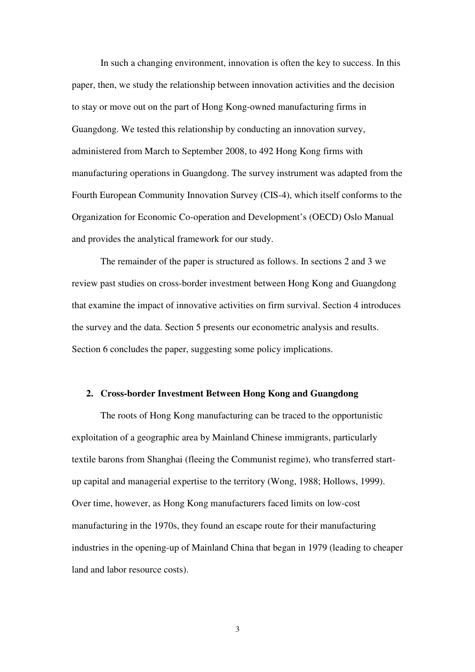In such a changing environment, innovation is often the key to success. In this paper, then, we study the relationship between innovation activities and the decision to stay or move out on the part of Hong Kong-owned manufacturing firms in Guangdong. We tested this relationship by conducting an innovation survey, administered from March to September 2008, to 492 Hong Kong firms with manufacturing operations in Guangdong. The survey instrument was adapted from the Fourth European Community Innovation Survey (CIS-4), which itself conforms to the Organization for Economic Co-operation and Development's (OECD) Oslo Manual and provides the analytical framework for our study.

The remainder of the paper is structured as follows. In sections 2 and 3 we review past studies on cross-border investment between Hong Kong and Guangdong that examine the impact of innovative activities on firm survival. Section 4 introduces the survey and the data. Section 5 presents our econometric analysis and results. Section 6 concludes the paper, suggesting some policy implications.

#### **2. Cross-border Investment Between Hong Kong and Guangdong**

The roots of Hong Kong manufacturing can be traced to the opportunistic exploitation of a geographic area by Mainland Chinese immigrants, particularly textile barons from Shanghai (fleeing the Communist regime), who transferred startup capital and managerial expertise to the territory (Wong, 1988; Hollows, 1999). Over time, however, as Hong Kong manufacturers faced limits on low-cost manufacturing in the 1970s, they found an escape route for their manufacturing industries in the opening-up of Mainland China that began in 1979 (leading to cheaper land and labor resource costs).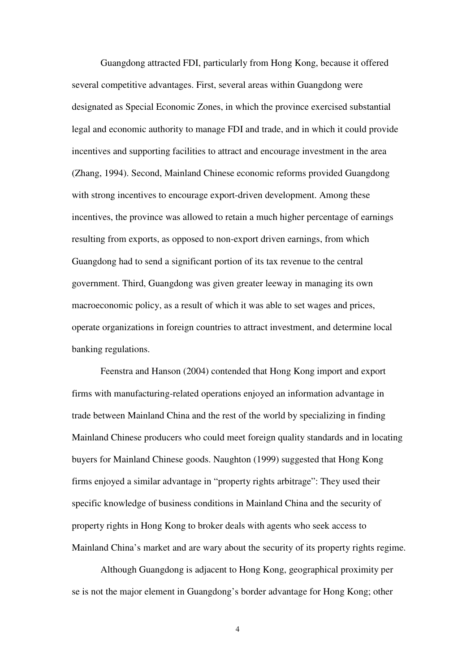Guangdong attracted FDI, particularly from Hong Kong, because it offered several competitive advantages. First, several areas within Guangdong were designated as Special Economic Zones, in which the province exercised substantial legal and economic authority to manage FDI and trade, and in which it could provide incentives and supporting facilities to attract and encourage investment in the area (Zhang, 1994). Second, Mainland Chinese economic reforms provided Guangdong with strong incentives to encourage export-driven development. Among these incentives, the province was allowed to retain a much higher percentage of earnings resulting from exports, as opposed to non-export driven earnings, from which Guangdong had to send a significant portion of its tax revenue to the central government. Third, Guangdong was given greater leeway in managing its own macroeconomic policy, as a result of which it was able to set wages and prices, operate organizations in foreign countries to attract investment, and determine local banking regulations.

Feenstra and Hanson (2004) contended that Hong Kong import and export firms with manufacturing-related operations enjoyed an information advantage in trade between Mainland China and the rest of the world by specializing in finding Mainland Chinese producers who could meet foreign quality standards and in locating buyers for Mainland Chinese goods. Naughton (1999) suggested that Hong Kong firms enjoyed a similar advantage in "property rights arbitrage": They used their specific knowledge of business conditions in Mainland China and the security of property rights in Hong Kong to broker deals with agents who seek access to Mainland China's market and are wary about the security of its property rights regime.

Although Guangdong is adjacent to Hong Kong, geographical proximity per se is not the major element in Guangdong's border advantage for Hong Kong; other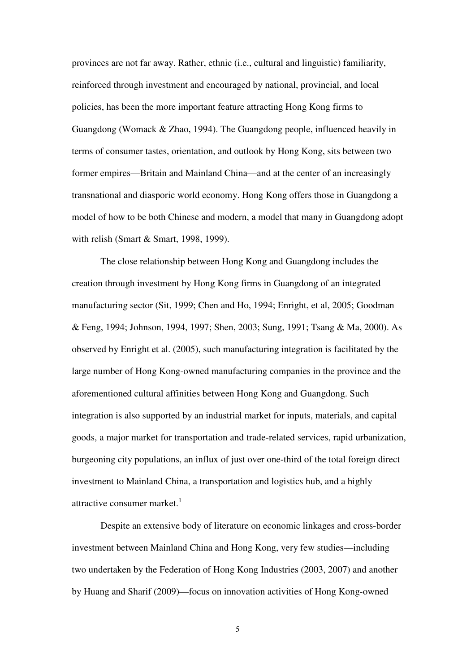provinces are not far away. Rather, ethnic (i.e., cultural and linguistic) familiarity, reinforced through investment and encouraged by national, provincial, and local policies, has been the more important feature attracting Hong Kong firms to Guangdong (Womack & Zhao, 1994). The Guangdong people, influenced heavily in terms of consumer tastes, orientation, and outlook by Hong Kong, sits between two former empires—Britain and Mainland China—and at the center of an increasingly transnational and diasporic world economy. Hong Kong offers those in Guangdong a model of how to be both Chinese and modern, a model that many in Guangdong adopt with relish (Smart & Smart, 1998, 1999).

The close relationship between Hong Kong and Guangdong includes the creation through investment by Hong Kong firms in Guangdong of an integrated manufacturing sector (Sit, 1999; Chen and Ho, 1994; Enright, et al, 2005; Goodman & Feng, 1994; Johnson, 1994, 1997; Shen, 2003; Sung, 1991; Tsang & Ma, 2000). As observed by Enright et al. (2005), such manufacturing integration is facilitated by the large number of Hong Kong-owned manufacturing companies in the province and the aforementioned cultural affinities between Hong Kong and Guangdong. Such integration is also supported by an industrial market for inputs, materials, and capital goods, a major market for transportation and trade-related services, rapid urbanization, burgeoning city populations, an influx of just over one-third of the total foreign direct investment to Mainland China, a transportation and logistics hub, and a highly attractive consumer market. $<sup>1</sup>$ </sup>

Despite an extensive body of literature on economic linkages and cross-border investment between Mainland China and Hong Kong, very few studies—including two undertaken by the Federation of Hong Kong Industries (2003, 2007) and another by Huang and Sharif (2009)—focus on innovation activities of Hong Kong-owned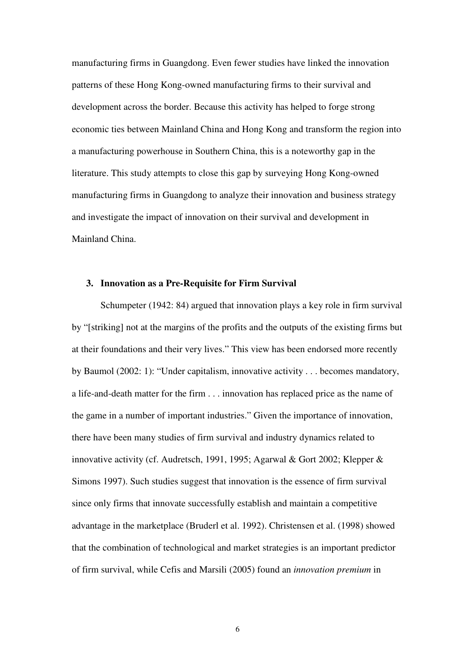manufacturing firms in Guangdong. Even fewer studies have linked the innovation patterns of these Hong Kong-owned manufacturing firms to their survival and development across the border. Because this activity has helped to forge strong economic ties between Mainland China and Hong Kong and transform the region into a manufacturing powerhouse in Southern China, this is a noteworthy gap in the literature. This study attempts to close this gap by surveying Hong Kong-owned manufacturing firms in Guangdong to analyze their innovation and business strategy and investigate the impact of innovation on their survival and development in Mainland China.

## **3. Innovation as a Pre-Requisite for Firm Survival**

Schumpeter (1942: 84) argued that innovation plays a key role in firm survival by "[striking] not at the margins of the profits and the outputs of the existing firms but at their foundations and their very lives." This view has been endorsed more recently by Baumol (2002: 1): "Under capitalism, innovative activity . . . becomes mandatory, a life-and-death matter for the firm . . . innovation has replaced price as the name of the game in a number of important industries." Given the importance of innovation, there have been many studies of firm survival and industry dynamics related to innovative activity (cf. Audretsch, 1991, 1995; Agarwal & Gort 2002; Klepper & Simons 1997). Such studies suggest that innovation is the essence of firm survival since only firms that innovate successfully establish and maintain a competitive advantage in the marketplace (Bruderl et al. 1992). Christensen et al. (1998) showed that the combination of technological and market strategies is an important predictor of firm survival, while Cefis and Marsili (2005) found an *innovation premium* in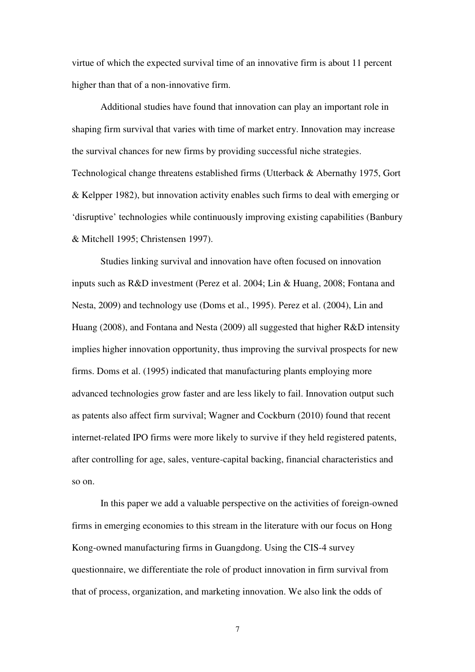virtue of which the expected survival time of an innovative firm is about 11 percent higher than that of a non-innovative firm.

Additional studies have found that innovation can play an important role in shaping firm survival that varies with time of market entry. Innovation may increase the survival chances for new firms by providing successful niche strategies. Technological change threatens established firms (Utterback & Abernathy 1975, Gort & Kelpper 1982), but innovation activity enables such firms to deal with emerging or 'disruptive' technologies while continuously improving existing capabilities (Banbury & Mitchell 1995; Christensen 1997).

Studies linking survival and innovation have often focused on innovation inputs such as R&D investment (Perez et al. 2004; Lin & Huang, 2008; Fontana and Nesta, 2009) and technology use (Doms et al., 1995). Perez et al. (2004), Lin and Huang (2008), and Fontana and Nesta (2009) all suggested that higher R&D intensity implies higher innovation opportunity, thus improving the survival prospects for new firms. Doms et al. (1995) indicated that manufacturing plants employing more advanced technologies grow faster and are less likely to fail. Innovation output such as patents also affect firm survival; Wagner and Cockburn (2010) found that recent internet-related IPO firms were more likely to survive if they held registered patents, after controlling for age, sales, venture-capital backing, financial characteristics and so on.

In this paper we add a valuable perspective on the activities of foreign-owned firms in emerging economies to this stream in the literature with our focus on Hong Kong-owned manufacturing firms in Guangdong. Using the CIS-4 survey questionnaire, we differentiate the role of product innovation in firm survival from that of process, organization, and marketing innovation. We also link the odds of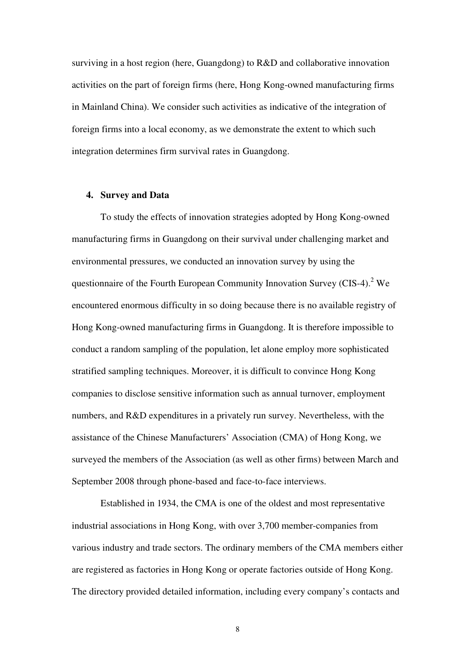surviving in a host region (here, Guangdong) to R&D and collaborative innovation activities on the part of foreign firms (here, Hong Kong-owned manufacturing firms in Mainland China). We consider such activities as indicative of the integration of foreign firms into a local economy, as we demonstrate the extent to which such integration determines firm survival rates in Guangdong.

#### **4. Survey and Data**

To study the effects of innovation strategies adopted by Hong Kong-owned manufacturing firms in Guangdong on their survival under challenging market and environmental pressures, we conducted an innovation survey by using the questionnaire of the Fourth European Community Innovation Survey (CIS-4).<sup>2</sup> We encountered enormous difficulty in so doing because there is no available registry of Hong Kong-owned manufacturing firms in Guangdong. It is therefore impossible to conduct a random sampling of the population, let alone employ more sophisticated stratified sampling techniques. Moreover, it is difficult to convince Hong Kong companies to disclose sensitive information such as annual turnover, employment numbers, and R&D expenditures in a privately run survey. Nevertheless, with the assistance of the Chinese Manufacturers' Association (CMA) of Hong Kong, we surveyed the members of the Association (as well as other firms) between March and September 2008 through phone-based and face-to-face interviews.

Established in 1934, the CMA is one of the oldest and most representative industrial associations in Hong Kong, with over 3,700 member-companies from various industry and trade sectors. The ordinary members of the CMA members either are registered as factories in Hong Kong or operate factories outside of Hong Kong. The directory provided detailed information, including every company's contacts and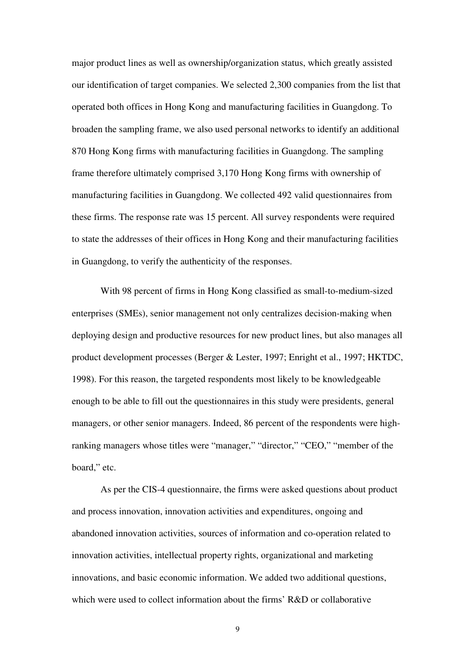major product lines as well as ownership/organization status, which greatly assisted our identification of target companies. We selected 2,300 companies from the list that operated both offices in Hong Kong and manufacturing facilities in Guangdong. To broaden the sampling frame, we also used personal networks to identify an additional 870 Hong Kong firms with manufacturing facilities in Guangdong. The sampling frame therefore ultimately comprised 3,170 Hong Kong firms with ownership of manufacturing facilities in Guangdong. We collected 492 valid questionnaires from these firms. The response rate was 15 percent. All survey respondents were required to state the addresses of their offices in Hong Kong and their manufacturing facilities in Guangdong, to verify the authenticity of the responses.

With 98 percent of firms in Hong Kong classified as small-to-medium-sized enterprises (SMEs), senior management not only centralizes decision-making when deploying design and productive resources for new product lines, but also manages all product development processes (Berger & Lester, 1997; Enright et al., 1997; HKTDC, 1998). For this reason, the targeted respondents most likely to be knowledgeable enough to be able to fill out the questionnaires in this study were presidents, general managers, or other senior managers. Indeed, 86 percent of the respondents were highranking managers whose titles were "manager," "director," "CEO," "member of the board," etc.

As per the CIS-4 questionnaire, the firms were asked questions about product and process innovation, innovation activities and expenditures, ongoing and abandoned innovation activities, sources of information and co-operation related to innovation activities, intellectual property rights, organizational and marketing innovations, and basic economic information. We added two additional questions, which were used to collect information about the firms' R&D or collaborative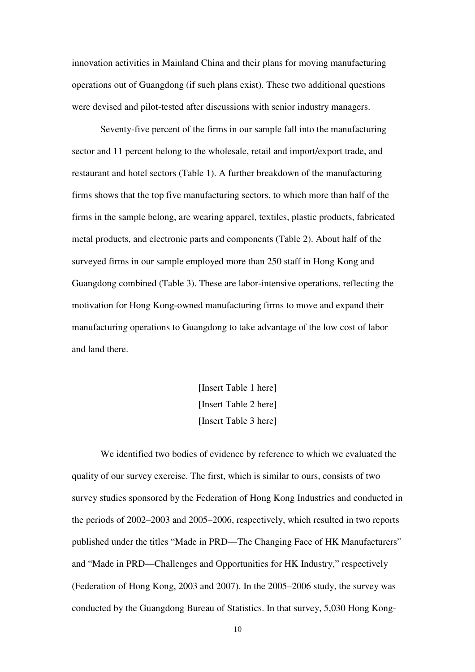innovation activities in Mainland China and their plans for moving manufacturing operations out of Guangdong (if such plans exist). These two additional questions were devised and pilot-tested after discussions with senior industry managers.

Seventy-five percent of the firms in our sample fall into the manufacturing sector and 11 percent belong to the wholesale, retail and import/export trade, and restaurant and hotel sectors (Table 1). A further breakdown of the manufacturing firms shows that the top five manufacturing sectors, to which more than half of the firms in the sample belong, are wearing apparel, textiles, plastic products, fabricated metal products, and electronic parts and components (Table 2). About half of the surveyed firms in our sample employed more than 250 staff in Hong Kong and Guangdong combined (Table 3). These are labor-intensive operations, reflecting the motivation for Hong Kong-owned manufacturing firms to move and expand their manufacturing operations to Guangdong to take advantage of the low cost of labor and land there.

> [Insert Table 1 here] [Insert Table 2 here] [Insert Table 3 here]

We identified two bodies of evidence by reference to which we evaluated the quality of our survey exercise. The first, which is similar to ours, consists of two survey studies sponsored by the Federation of Hong Kong Industries and conducted in the periods of 2002–2003 and 2005–2006, respectively, which resulted in two reports published under the titles "Made in PRD—The Changing Face of HK Manufacturers" and "Made in PRD—Challenges and Opportunities for HK Industry," respectively (Federation of Hong Kong, 2003 and 2007). In the 2005–2006 study, the survey was conducted by the Guangdong Bureau of Statistics. In that survey, 5,030 Hong Kong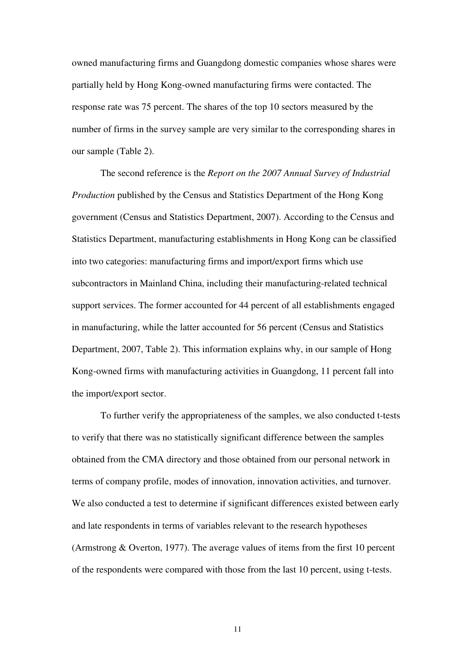owned manufacturing firms and Guangdong domestic companies whose shares were partially held by Hong Kong-owned manufacturing firms were contacted. The response rate was 75 percent. The shares of the top 10 sectors measured by the number of firms in the survey sample are very similar to the corresponding shares in our sample (Table 2).

The second reference is the *Report on the 2007 Annual Survey of Industrial Production* published by the Census and Statistics Department of the Hong Kong government (Census and Statistics Department, 2007). According to the Census and Statistics Department, manufacturing establishments in Hong Kong can be classified into two categories: manufacturing firms and import/export firms which use subcontractors in Mainland China, including their manufacturing-related technical support services. The former accounted for 44 percent of all establishments engaged in manufacturing, while the latter accounted for 56 percent (Census and Statistics Department, 2007, Table 2). This information explains why, in our sample of Hong Kong-owned firms with manufacturing activities in Guangdong, 11 percent fall into the import/export sector.

To further verify the appropriateness of the samples, we also conducted t-tests to verify that there was no statistically significant difference between the samples obtained from the CMA directory and those obtained from our personal network in terms of company profile, modes of innovation, innovation activities, and turnover. We also conducted a test to determine if significant differences existed between early and late respondents in terms of variables relevant to the research hypotheses (Armstrong & Overton, 1977). The average values of items from the first 10 percent of the respondents were compared with those from the last 10 percent, using t-tests.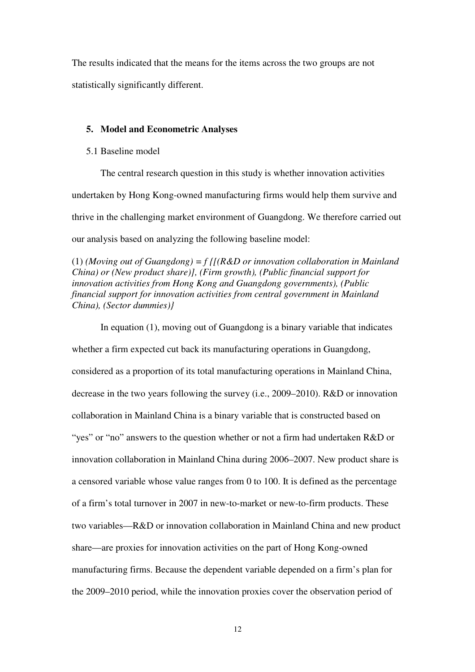The results indicated that the means for the items across the two groups are not statistically significantly different.

#### **5. Model and Econometric Analyses**

#### 5.1 Baseline model

The central research question in this study is whether innovation activities undertaken by Hong Kong-owned manufacturing firms would help them survive and thrive in the challenging market environment of Guangdong. We therefore carried out our analysis based on analyzing the following baseline model:

(1) *(Moving out of Guangdong) = f {[(R&D or innovation collaboration in Mainland China) or (New product share)], (Firm growth), (Public financial support for innovation activities from Hong Kong and Guangdong governments), (Public financial support for innovation activities from central government in Mainland China), (Sector dummies)}* 

In equation (1), moving out of Guangdong is a binary variable that indicates whether a firm expected cut back its manufacturing operations in Guangdong, considered as a proportion of its total manufacturing operations in Mainland China, decrease in the two years following the survey (i.e., 2009–2010). R&D or innovation collaboration in Mainland China is a binary variable that is constructed based on "yes" or "no" answers to the question whether or not a firm had undertaken R&D or innovation collaboration in Mainland China during 2006–2007. New product share is a censored variable whose value ranges from 0 to 100. It is defined as the percentage of a firm's total turnover in 2007 in new-to-market or new-to-firm products. These two variables—R&D or innovation collaboration in Mainland China and new product share—are proxies for innovation activities on the part of Hong Kong-owned manufacturing firms. Because the dependent variable depended on a firm's plan for the 2009–2010 period, while the innovation proxies cover the observation period of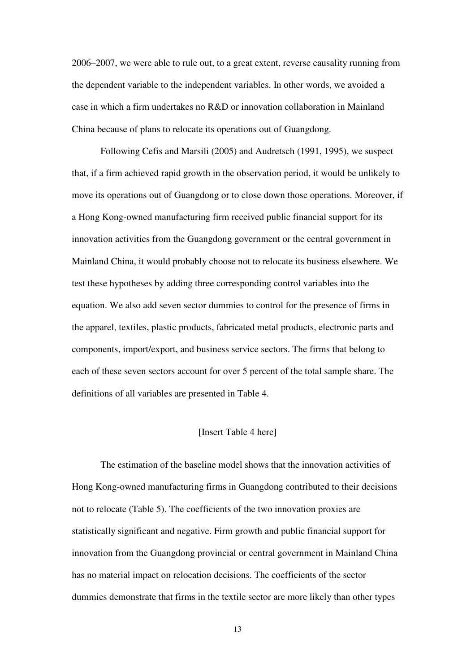2006–2007, we were able to rule out, to a great extent, reverse causality running from the dependent variable to the independent variables. In other words, we avoided a case in which a firm undertakes no R&D or innovation collaboration in Mainland China because of plans to relocate its operations out of Guangdong.

Following Cefis and Marsili (2005) and Audretsch (1991, 1995), we suspect that, if a firm achieved rapid growth in the observation period, it would be unlikely to move its operations out of Guangdong or to close down those operations. Moreover, if a Hong Kong-owned manufacturing firm received public financial support for its innovation activities from the Guangdong government or the central government in Mainland China, it would probably choose not to relocate its business elsewhere. We test these hypotheses by adding three corresponding control variables into the equation. We also add seven sector dummies to control for the presence of firms in the apparel, textiles, plastic products, fabricated metal products, electronic parts and components, import/export, and business service sectors. The firms that belong to each of these seven sectors account for over 5 percent of the total sample share. The definitions of all variables are presented in Table 4.

#### [Insert Table 4 here]

The estimation of the baseline model shows that the innovation activities of Hong Kong-owned manufacturing firms in Guangdong contributed to their decisions not to relocate (Table 5). The coefficients of the two innovation proxies are statistically significant and negative. Firm growth and public financial support for innovation from the Guangdong provincial or central government in Mainland China has no material impact on relocation decisions. The coefficients of the sector dummies demonstrate that firms in the textile sector are more likely than other types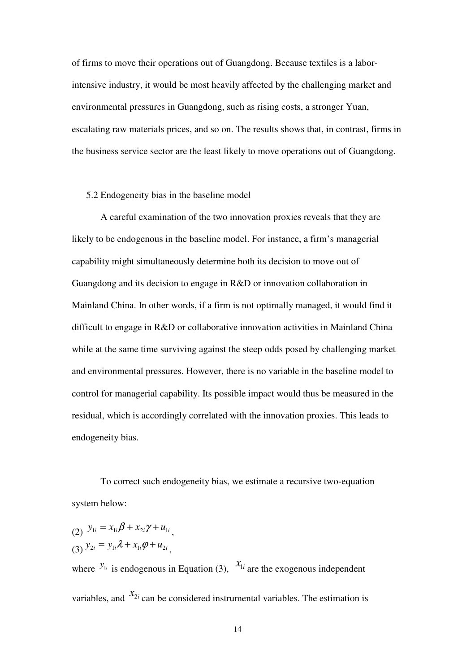of firms to move their operations out of Guangdong. Because textiles is a laborintensive industry, it would be most heavily affected by the challenging market and environmental pressures in Guangdong, such as rising costs, a stronger Yuan, escalating raw materials prices, and so on. The results shows that, in contrast, firms in the business service sector are the least likely to move operations out of Guangdong.

#### 5.2 Endogeneity bias in the baseline model

A careful examination of the two innovation proxies reveals that they are likely to be endogenous in the baseline model. For instance, a firm's managerial capability might simultaneously determine both its decision to move out of Guangdong and its decision to engage in R&D or innovation collaboration in Mainland China. In other words, if a firm is not optimally managed, it would find it difficult to engage in R&D or collaborative innovation activities in Mainland China while at the same time surviving against the steep odds posed by challenging market and environmental pressures. However, there is no variable in the baseline model to control for managerial capability. Its possible impact would thus be measured in the residual, which is accordingly correlated with the innovation proxies. This leads to endogeneity bias.

To correct such endogeneity bias, we estimate a recursive two-equation system below:

(2) 
$$
y_{1i} = x_{1i}\beta + x_{2i}\gamma + u_{1i}
$$
,  
\n(3)  $y_{2i} = y_{1i}\lambda + x_{1i}\varphi + u_{2i}$ ,

where  $y_{1i}$  is endogenous in Equation (3),  $x_{1i}$  are the exogenous independent variables, and  $x_{2i}$  can be considered instrumental variables. The estimation is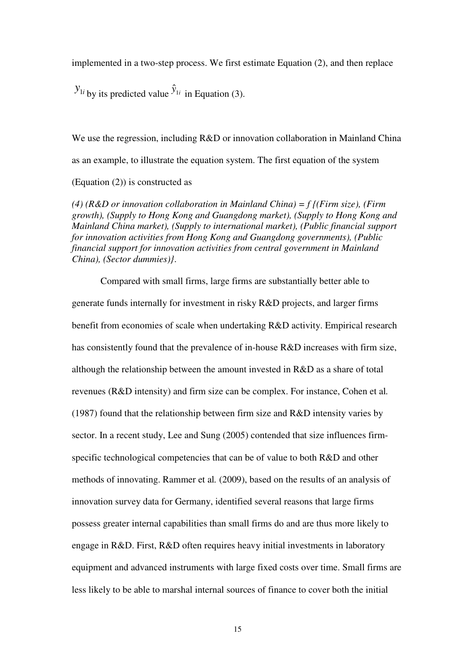implemented in a two-step process. We first estimate Equation (2), and then replace

 $y_{1i}$  by its predicted value  $\hat{y}_{1i}$  in Equation (3).

We use the regression, including R&D or innovation collaboration in Mainland China as an example, to illustrate the equation system. The first equation of the system (Equation (2)) is constructed as

*(4) (R&D or innovation collaboration in Mainland China) = f {(Firm size), (Firm growth), (Supply to Hong Kong and Guangdong market), (Supply to Hong Kong and Mainland China market), (Supply to international market), (Public financial support for innovation activities from Hong Kong and Guangdong governments), (Public financial support for innovation activities from central government in Mainland China), (Sector dummies)}*.

Compared with small firms, large firms are substantially better able to generate funds internally for investment in risky R&D projects, and larger firms benefit from economies of scale when undertaking R&D activity. Empirical research has consistently found that the prevalence of in-house R&D increases with firm size, although the relationship between the amount invested in R&D as a share of total revenues (R&D intensity) and firm size can be complex. For instance, Cohen et al*.* (1987) found that the relationship between firm size and R&D intensity varies by sector. In a recent study, Lee and Sung (2005) contended that size influences firmspecific technological competencies that can be of value to both R&D and other methods of innovating. Rammer et al*.* (2009), based on the results of an analysis of innovation survey data for Germany, identified several reasons that large firms possess greater internal capabilities than small firms do and are thus more likely to engage in R&D. First, R&D often requires heavy initial investments in laboratory equipment and advanced instruments with large fixed costs over time. Small firms are less likely to be able to marshal internal sources of finance to cover both the initial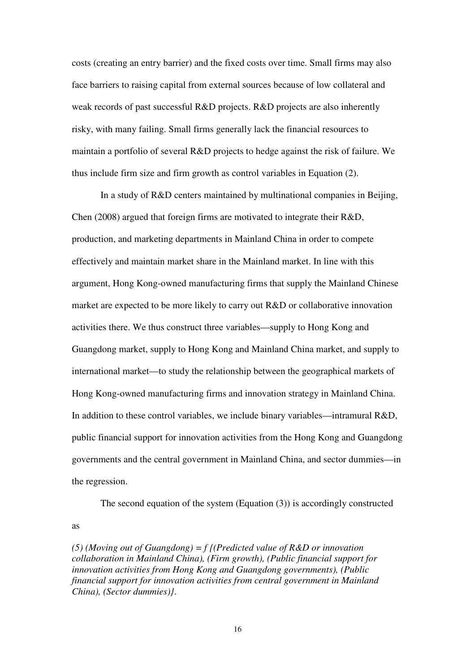costs (creating an entry barrier) and the fixed costs over time. Small firms may also face barriers to raising capital from external sources because of low collateral and weak records of past successful R&D projects. R&D projects are also inherently risky, with many failing. Small firms generally lack the financial resources to maintain a portfolio of several R&D projects to hedge against the risk of failure. We thus include firm size and firm growth as control variables in Equation (2).

In a study of R&D centers maintained by multinational companies in Beijing, Chen (2008) argued that foreign firms are motivated to integrate their R&D, production, and marketing departments in Mainland China in order to compete effectively and maintain market share in the Mainland market. In line with this argument, Hong Kong-owned manufacturing firms that supply the Mainland Chinese market are expected to be more likely to carry out R&D or collaborative innovation activities there. We thus construct three variables—supply to Hong Kong and Guangdong market, supply to Hong Kong and Mainland China market, and supply to international market—to study the relationship between the geographical markets of Hong Kong-owned manufacturing firms and innovation strategy in Mainland China. In addition to these control variables, we include binary variables—intramural R&D, public financial support for innovation activities from the Hong Kong and Guangdong governments and the central government in Mainland China, and sector dummies—in the regression.

The second equation of the system (Equation  $(3)$ ) is accordingly constructed as

*(5) (Moving out of Guangdong) = f {(Predicted value of R&D or innovation collaboration in Mainland China), (Firm growth), (Public financial support for innovation activities from Hong Kong and Guangdong governments), (Public financial support for innovation activities from central government in Mainland China), (Sector dummies)}*.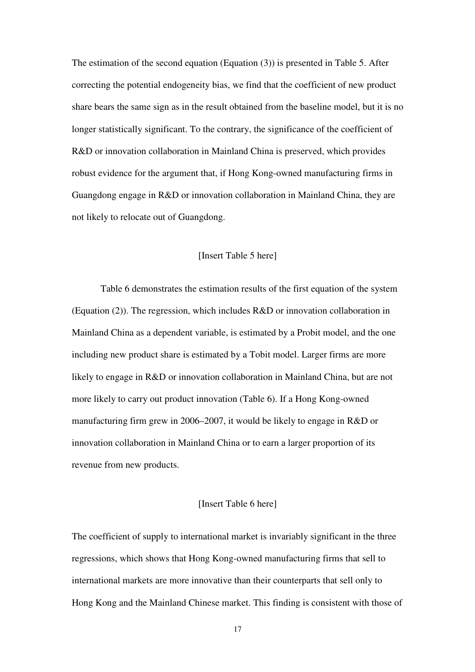The estimation of the second equation (Equation (3)) is presented in Table 5. After correcting the potential endogeneity bias, we find that the coefficient of new product share bears the same sign as in the result obtained from the baseline model, but it is no longer statistically significant. To the contrary, the significance of the coefficient of R&D or innovation collaboration in Mainland China is preserved, which provides robust evidence for the argument that, if Hong Kong-owned manufacturing firms in Guangdong engage in R&D or innovation collaboration in Mainland China, they are not likely to relocate out of Guangdong.

#### [Insert Table 5 here]

Table 6 demonstrates the estimation results of the first equation of the system (Equation (2)). The regression, which includes R&D or innovation collaboration in Mainland China as a dependent variable, is estimated by a Probit model, and the one including new product share is estimated by a Tobit model. Larger firms are more likely to engage in R&D or innovation collaboration in Mainland China, but are not more likely to carry out product innovation (Table 6). If a Hong Kong-owned manufacturing firm grew in 2006–2007, it would be likely to engage in R&D or innovation collaboration in Mainland China or to earn a larger proportion of its revenue from new products.

#### [Insert Table 6 here]

The coefficient of supply to international market is invariably significant in the three regressions, which shows that Hong Kong-owned manufacturing firms that sell to international markets are more innovative than their counterparts that sell only to Hong Kong and the Mainland Chinese market. This finding is consistent with those of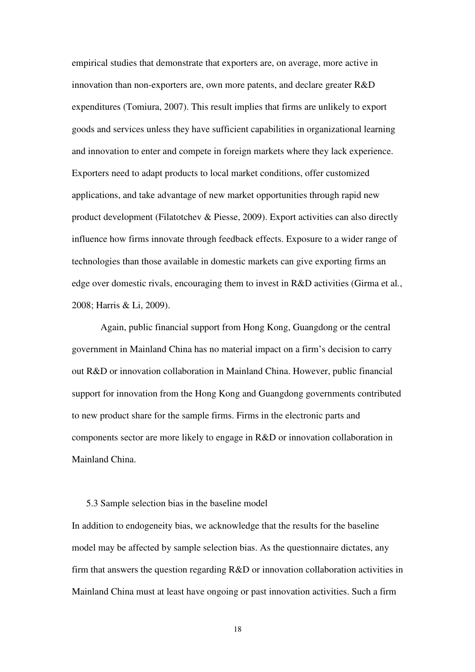empirical studies that demonstrate that exporters are, on average, more active in innovation than non-exporters are, own more patents, and declare greater R&D expenditures (Tomiura, 2007). This result implies that firms are unlikely to export goods and services unless they have sufficient capabilities in organizational learning and innovation to enter and compete in foreign markets where they lack experience. Exporters need to adapt products to local market conditions, offer customized applications, and take advantage of new market opportunities through rapid new product development (Filatotchev & Piesse, 2009). Export activities can also directly influence how firms innovate through feedback effects. Exposure to a wider range of technologies than those available in domestic markets can give exporting firms an edge over domestic rivals, encouraging them to invest in R&D activities (Girma et al*.*, 2008; Harris & Li, 2009).

Again, public financial support from Hong Kong, Guangdong or the central government in Mainland China has no material impact on a firm's decision to carry out R&D or innovation collaboration in Mainland China. However, public financial support for innovation from the Hong Kong and Guangdong governments contributed to new product share for the sample firms. Firms in the electronic parts and components sector are more likely to engage in R&D or innovation collaboration in Mainland China.

#### 5.3 Sample selection bias in the baseline model

In addition to endogeneity bias, we acknowledge that the results for the baseline model may be affected by sample selection bias. As the questionnaire dictates, any firm that answers the question regarding R&D or innovation collaboration activities in Mainland China must at least have ongoing or past innovation activities. Such a firm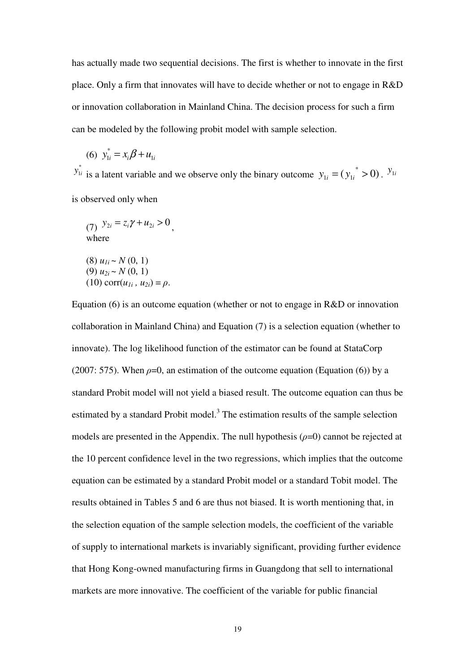has actually made two sequential decisions. The first is whether to innovate in the first place. Only a firm that innovates will have to decide whether or not to engage in R&D or innovation collaboration in Mainland China. The decision process for such a firm can be modeled by the following probit model with sample selection.

(6) 
$$
y_{1i}^* = x_i \beta + u_{1i}
$$

\*  $y_{1i}^*$  is a latent variable and we observe only the binary outcome  $y_{1i} = (y_{1i}^* > 0)$ .  $y_{1i}$ is observed only when

(7)  $y_{2i} = z_i \gamma + u_{2i} > 0$ , where (8)  $u_{1i} \sim N(0, 1)$ (9)  $u_{2i} \sim N(0, 1)$  $(10)$  corr $(u_{1i}, u_{2i}) = \rho$ .

Equation (6) is an outcome equation (whether or not to engage in R&D or innovation collaboration in Mainland China) and Equation (7) is a selection equation (whether to innovate). The log likelihood function of the estimator can be found at StataCorp (2007: 575). When  $\rho=0$ , an estimation of the outcome equation (Equation (6)) by a standard Probit model will not yield a biased result. The outcome equation can thus be estimated by a standard Probit model.<sup>3</sup> The estimation results of the sample selection models are presented in the Appendix. The null hypothesis  $(\rho=0)$  cannot be rejected at the 10 percent confidence level in the two regressions, which implies that the outcome equation can be estimated by a standard Probit model or a standard Tobit model. The results obtained in Tables 5 and 6 are thus not biased. It is worth mentioning that, in the selection equation of the sample selection models, the coefficient of the variable of supply to international markets is invariably significant, providing further evidence that Hong Kong-owned manufacturing firms in Guangdong that sell to international markets are more innovative. The coefficient of the variable for public financial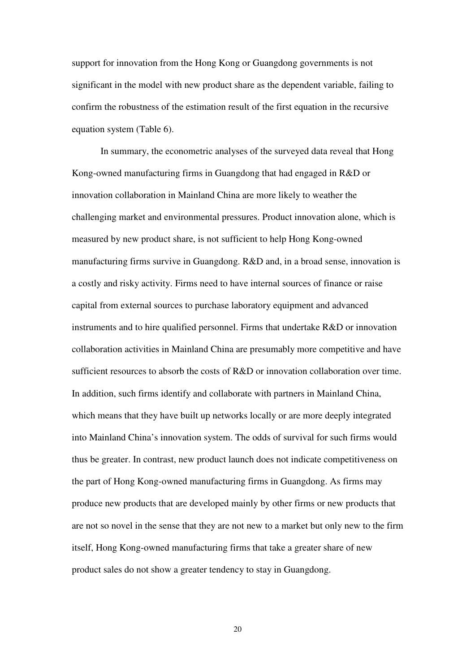support for innovation from the Hong Kong or Guangdong governments is not significant in the model with new product share as the dependent variable, failing to confirm the robustness of the estimation result of the first equation in the recursive equation system (Table 6).

In summary, the econometric analyses of the surveyed data reveal that Hong Kong-owned manufacturing firms in Guangdong that had engaged in R&D or innovation collaboration in Mainland China are more likely to weather the challenging market and environmental pressures. Product innovation alone, which is measured by new product share, is not sufficient to help Hong Kong-owned manufacturing firms survive in Guangdong. R&D and, in a broad sense, innovation is a costly and risky activity. Firms need to have internal sources of finance or raise capital from external sources to purchase laboratory equipment and advanced instruments and to hire qualified personnel. Firms that undertake R&D or innovation collaboration activities in Mainland China are presumably more competitive and have sufficient resources to absorb the costs of R&D or innovation collaboration over time. In addition, such firms identify and collaborate with partners in Mainland China, which means that they have built up networks locally or are more deeply integrated into Mainland China's innovation system. The odds of survival for such firms would thus be greater. In contrast, new product launch does not indicate competitiveness on the part of Hong Kong-owned manufacturing firms in Guangdong. As firms may produce new products that are developed mainly by other firms or new products that are not so novel in the sense that they are not new to a market but only new to the firm itself, Hong Kong-owned manufacturing firms that take a greater share of new product sales do not show a greater tendency to stay in Guangdong.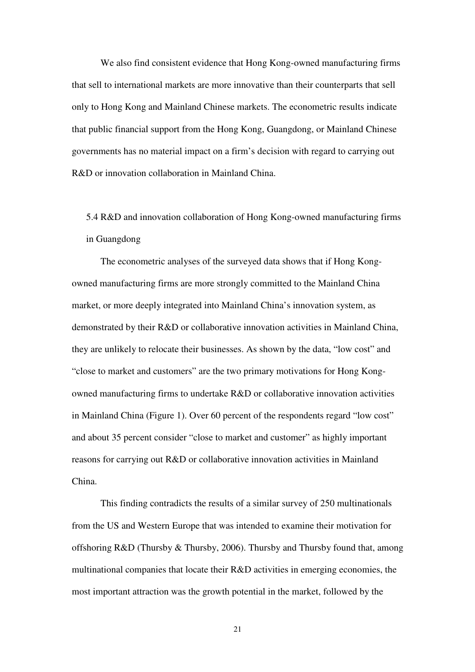We also find consistent evidence that Hong Kong-owned manufacturing firms that sell to international markets are more innovative than their counterparts that sell only to Hong Kong and Mainland Chinese markets. The econometric results indicate that public financial support from the Hong Kong, Guangdong, or Mainland Chinese governments has no material impact on a firm's decision with regard to carrying out R&D or innovation collaboration in Mainland China.

5.4 R&D and innovation collaboration of Hong Kong-owned manufacturing firms in Guangdong

The econometric analyses of the surveyed data shows that if Hong Kongowned manufacturing firms are more strongly committed to the Mainland China market, or more deeply integrated into Mainland China's innovation system, as demonstrated by their R&D or collaborative innovation activities in Mainland China, they are unlikely to relocate their businesses. As shown by the data, "low cost" and "close to market and customers" are the two primary motivations for Hong Kongowned manufacturing firms to undertake R&D or collaborative innovation activities in Mainland China (Figure 1). Over 60 percent of the respondents regard "low cost" and about 35 percent consider "close to market and customer" as highly important reasons for carrying out R&D or collaborative innovation activities in Mainland China.

This finding contradicts the results of a similar survey of 250 multinationals from the US and Western Europe that was intended to examine their motivation for offshoring R&D (Thursby & Thursby, 2006). Thursby and Thursby found that, among multinational companies that locate their R&D activities in emerging economies, the most important attraction was the growth potential in the market, followed by the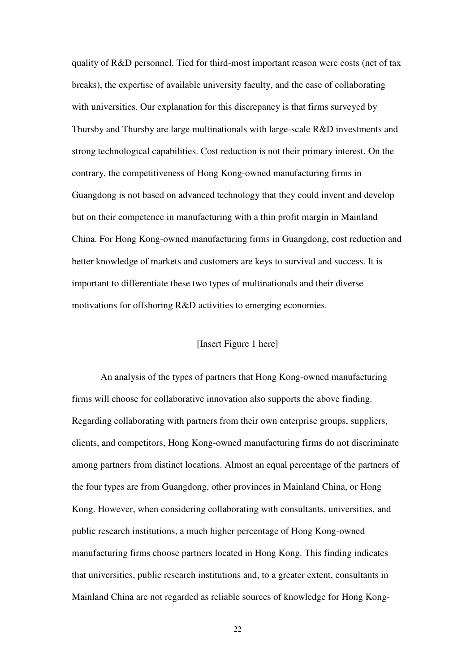quality of R&D personnel. Tied for third-most important reason were costs (net of tax breaks), the expertise of available university faculty, and the ease of collaborating with universities. Our explanation for this discrepancy is that firms surveyed by Thursby and Thursby are large multinationals with large-scale R&D investments and strong technological capabilities. Cost reduction is not their primary interest. On the contrary, the competitiveness of Hong Kong-owned manufacturing firms in Guangdong is not based on advanced technology that they could invent and develop but on their competence in manufacturing with a thin profit margin in Mainland China. For Hong Kong-owned manufacturing firms in Guangdong, cost reduction and better knowledge of markets and customers are keys to survival and success. It is important to differentiate these two types of multinationals and their diverse motivations for offshoring R&D activities to emerging economies.

## [Insert Figure 1 here]

An analysis of the types of partners that Hong Kong-owned manufacturing firms will choose for collaborative innovation also supports the above finding. Regarding collaborating with partners from their own enterprise groups, suppliers, clients, and competitors, Hong Kong-owned manufacturing firms do not discriminate among partners from distinct locations. Almost an equal percentage of the partners of the four types are from Guangdong, other provinces in Mainland China, or Hong Kong. However, when considering collaborating with consultants, universities, and public research institutions, a much higher percentage of Hong Kong-owned manufacturing firms choose partners located in Hong Kong. This finding indicates that universities, public research institutions and, to a greater extent, consultants in Mainland China are not regarded as reliable sources of knowledge for Hong Kong-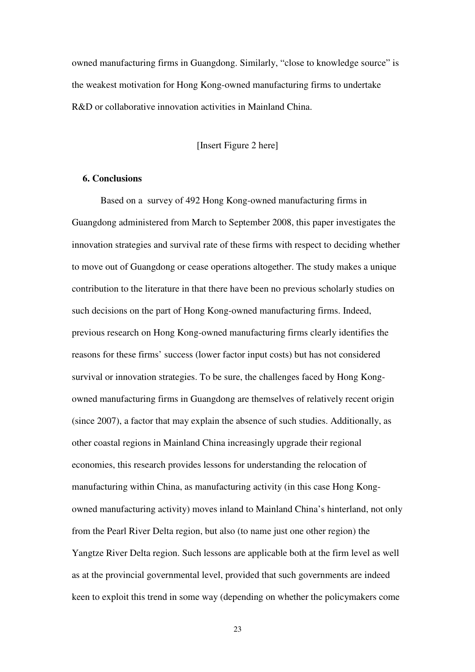owned manufacturing firms in Guangdong. Similarly, "close to knowledge source" is the weakest motivation for Hong Kong-owned manufacturing firms to undertake R&D or collaborative innovation activities in Mainland China.

[Insert Figure 2 here]

#### **6. Conclusions**

Based on a survey of 492 Hong Kong-owned manufacturing firms in Guangdong administered from March to September 2008, this paper investigates the innovation strategies and survival rate of these firms with respect to deciding whether to move out of Guangdong or cease operations altogether. The study makes a unique contribution to the literature in that there have been no previous scholarly studies on such decisions on the part of Hong Kong-owned manufacturing firms. Indeed, previous research on Hong Kong-owned manufacturing firms clearly identifies the reasons for these firms' success (lower factor input costs) but has not considered survival or innovation strategies. To be sure, the challenges faced by Hong Kongowned manufacturing firms in Guangdong are themselves of relatively recent origin (since 2007), a factor that may explain the absence of such studies. Additionally, as other coastal regions in Mainland China increasingly upgrade their regional economies, this research provides lessons for understanding the relocation of manufacturing within China, as manufacturing activity (in this case Hong Kongowned manufacturing activity) moves inland to Mainland China's hinterland, not only from the Pearl River Delta region, but also (to name just one other region) the Yangtze River Delta region. Such lessons are applicable both at the firm level as well as at the provincial governmental level, provided that such governments are indeed keen to exploit this trend in some way (depending on whether the policymakers come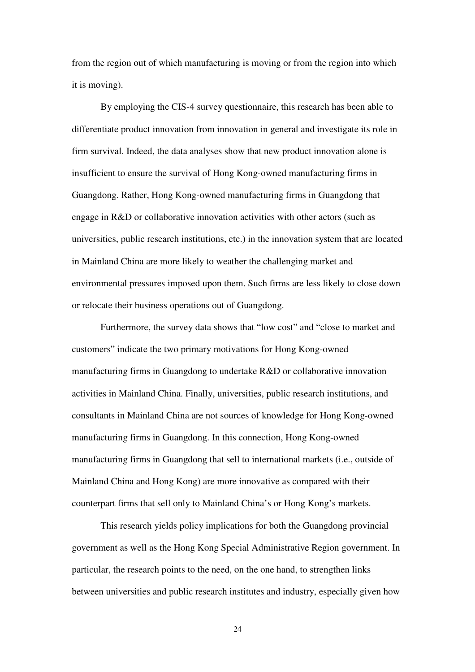from the region out of which manufacturing is moving or from the region into which it is moving).

By employing the CIS-4 survey questionnaire, this research has been able to differentiate product innovation from innovation in general and investigate its role in firm survival. Indeed, the data analyses show that new product innovation alone is insufficient to ensure the survival of Hong Kong-owned manufacturing firms in Guangdong. Rather, Hong Kong-owned manufacturing firms in Guangdong that engage in R&D or collaborative innovation activities with other actors (such as universities, public research institutions, etc.) in the innovation system that are located in Mainland China are more likely to weather the challenging market and environmental pressures imposed upon them. Such firms are less likely to close down or relocate their business operations out of Guangdong.

Furthermore, the survey data shows that "low cost" and "close to market and customers" indicate the two primary motivations for Hong Kong-owned manufacturing firms in Guangdong to undertake R&D or collaborative innovation activities in Mainland China. Finally, universities, public research institutions, and consultants in Mainland China are not sources of knowledge for Hong Kong-owned manufacturing firms in Guangdong. In this connection, Hong Kong-owned manufacturing firms in Guangdong that sell to international markets (i.e., outside of Mainland China and Hong Kong) are more innovative as compared with their counterpart firms that sell only to Mainland China's or Hong Kong's markets.

This research yields policy implications for both the Guangdong provincial government as well as the Hong Kong Special Administrative Region government. In particular, the research points to the need, on the one hand, to strengthen links between universities and public research institutes and industry, especially given how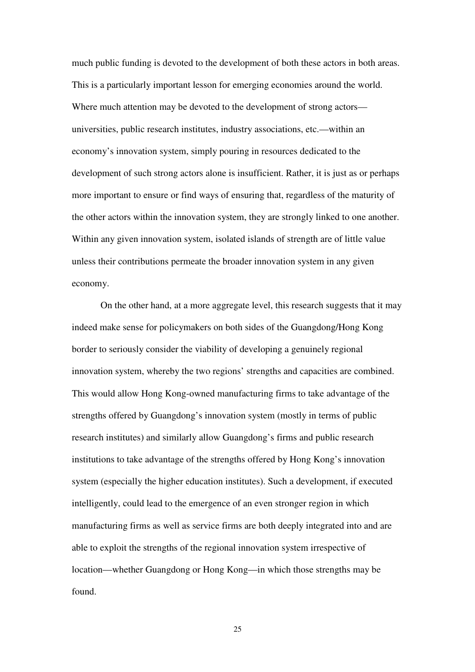much public funding is devoted to the development of both these actors in both areas. This is a particularly important lesson for emerging economies around the world. Where much attention may be devoted to the development of strong actors universities, public research institutes, industry associations, etc.—within an economy's innovation system, simply pouring in resources dedicated to the development of such strong actors alone is insufficient. Rather, it is just as or perhaps more important to ensure or find ways of ensuring that, regardless of the maturity of the other actors within the innovation system, they are strongly linked to one another. Within any given innovation system, isolated islands of strength are of little value unless their contributions permeate the broader innovation system in any given economy.

On the other hand, at a more aggregate level, this research suggests that it may indeed make sense for policymakers on both sides of the Guangdong/Hong Kong border to seriously consider the viability of developing a genuinely regional innovation system, whereby the two regions' strengths and capacities are combined. This would allow Hong Kong-owned manufacturing firms to take advantage of the strengths offered by Guangdong's innovation system (mostly in terms of public research institutes) and similarly allow Guangdong's firms and public research institutions to take advantage of the strengths offered by Hong Kong's innovation system (especially the higher education institutes). Such a development, if executed intelligently, could lead to the emergence of an even stronger region in which manufacturing firms as well as service firms are both deeply integrated into and are able to exploit the strengths of the regional innovation system irrespective of location—whether Guangdong or Hong Kong—in which those strengths may be found.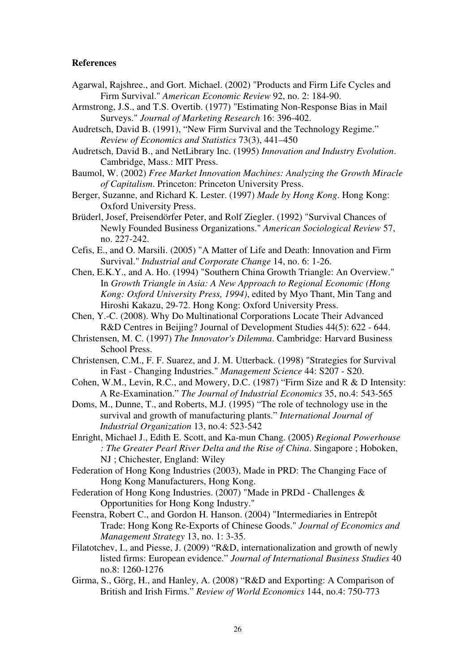#### **References**

- Agarwal, Rajshree., and Gort. Michael. (2002) "Products and Firm Life Cycles and Firm Survival." *American Economic Review* 92, no. 2: 184-90.
- Armstrong, J.S., and T.S. Overtib. (1977) "Estimating Non-Response Bias in Mail Surveys." *Journal of Marketing Research* 16: 396-402.
- Audretsch, David B. (1991), "New Firm Survival and the Technology Regime." *Review of Economics and Statistics* 73(3), 441–450
- Audretsch, David B., and NetLibrary Inc. (1995) *Innovation and Industry Evolution*. Cambridge, Mass.: MIT Press.
- Baumol, W. (2002) *Free Market Innovation Machines: Analyzing the Growth Miracle of Capitalism*. Princeton: Princeton University Press.
- Berger, Suzanne, and Richard K. Lester. (1997) *Made by Hong Kong*. Hong Kong: Oxford University Press.
- Brüderl, Josef, Preisendörfer Peter, and Rolf Ziegler. (1992) "Survival Chances of Newly Founded Business Organizations." *American Sociological Review* 57, no. 227-242.
- Cefis, E., and O. Marsili. (2005) "A Matter of Life and Death: Innovation and Firm Survival." *Industrial and Corporate Change* 14, no. 6: 1-26.
- Chen, E.K.Y., and A. Ho. (1994) "Southern China Growth Triangle: An Overview." In *Growth Triangle in Asia: A New Approach to Regional Economic (Hong Kong: Oxford University Press, 1994)*, edited by Myo Thant, Min Tang and Hiroshi Kakazu, 29-72. Hong Kong: Oxford University Press.
- Chen, Y.-C. (2008). Why Do Multinational Corporations Locate Their Advanced R&D Centres in Beijing? Journal of Development Studies 44(5): 622 - 644.
- Christensen, M. C. (1997) *The Innovator's Dilemma*. Cambridge: Harvard Business School Press.
- Christensen, C.M., F. F. Suarez, and J. M. Utterback. (1998) "Strategies for Survival in Fast - Changing Industries." *Management Science* 44: S207 - S20.
- Cohen, W.M., Levin, R.C., and Mowery, D.C. (1987) "Firm Size and R & D Intensity: A Re-Examination." *The Journal of Industrial Economics* 35, no.4: 543-565
- Doms, M., Dunne, T., and Roberts, M.J. (1995) "The role of technology use in the survival and growth of manufacturing plants." *International Journal of Industrial Organization* 13, no.4: 523-542
- Enright, Michael J., Edith E. Scott, and Ka-mun Chang. (2005) *Regional Powerhouse : The Greater Pearl River Delta and the Rise of China*. Singapore ; Hoboken, NJ ; Chichester, England: Wiley
- Federation of Hong Kong Industries (2003), Made in PRD: The Changing Face of Hong Kong Manufacturers, Hong Kong.
- Federation of Hong Kong Industries. (2007) "Made in PRDd Challenges & Opportunities for Hong Kong Industry."
- Feenstra, Robert C., and Gordon H. Hanson. (2004) "Intermediaries in Entrepôt Trade: Hong Kong Re-Exports of Chinese Goods." *Journal of Economics and Management Strategy* 13, no. 1: 3-35.
- Filatotchev, I., and Piesse, J. (2009) "R&D, internationalization and growth of newly listed firms: European evidence." *Journal of International Business Studies* 40 no.8: 1260-1276
- Girma, S., Görg, H., and Hanley, A. (2008) "R&D and Exporting: A Comparison of British and Irish Firms." *Review of World Economics* 144, no.4: 750-773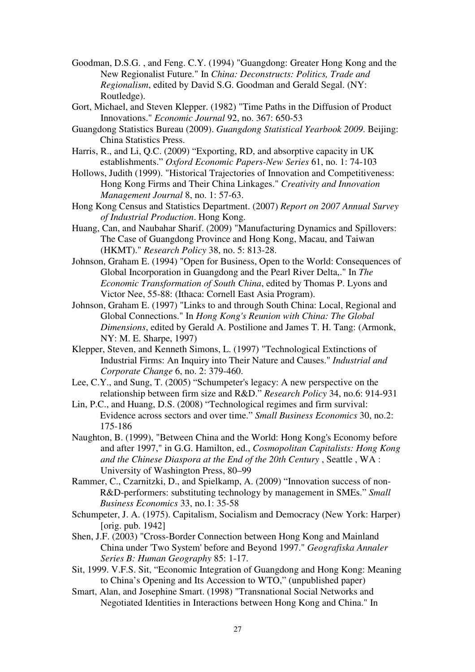- Goodman, D.S.G. , and Feng. C.Y. (1994) "Guangdong: Greater Hong Kong and the New Regionalist Future." In *China: Deconstructs: Politics, Trade and Regionalism*, edited by David S.G. Goodman and Gerald Segal. (NY: Routledge).
- Gort, Michael, and Steven Klepper. (1982) "Time Paths in the Diffusion of Product Innovations." *Economic Journal* 92, no. 367: 650-53
- Guangdong Statistics Bureau (2009). *Guangdong Statistical Yearbook 2009*. Beijing: China Statistics Press.
- Harris, R., and Li, Q.C. (2009) "Exporting, RD, and absorptive capacity in UK establishments." *Oxford Economic Papers-New Series* 61, no. 1: 74-103
- Hollows, Judith (1999). "Historical Trajectories of Innovation and Competitiveness: Hong Kong Firms and Their China Linkages." *Creativity and Innovation Management Journal* 8, no. 1: 57-63.
- Hong Kong Census and Statistics Department. (2007) *Report on 2007 Annual Survey of Industrial Production*. Hong Kong.
- Huang, Can, and Naubahar Sharif. (2009) "Manufacturing Dynamics and Spillovers: The Case of Guangdong Province and Hong Kong, Macau, and Taiwan (HKMT)." *Research Policy* 38, no. 5: 813-28.
- Johnson, Graham E. (1994) "Open for Business, Open to the World: Consequences of Global Incorporation in Guangdong and the Pearl River Delta,." In *The Economic Transformation of South China*, edited by Thomas P. Lyons and Victor Nee, 55-88: (Ithaca: Cornell East Asia Program).
- Johnson, Graham E. (1997) "Links to and through South China: Local, Regional and Global Connections." In *Hong Kong's Reunion with China: The Global Dimensions*, edited by Gerald A. Postilione and James T. H. Tang: (Armonk, NY: M. E. Sharpe, 1997)
- Klepper, Steven, and Kenneth Simons, L. (1997) "Technological Extinctions of Industrial Firms: An Inquiry into Their Nature and Causes." *Industrial and Corporate Change* 6, no. 2: 379-460.
- Lee, C.Y., and Sung, T. (2005) "Schumpeter's legacy: A new perspective on the relationship between firm size and R&D." *Research Policy* 34, no.6: 914-931
- Lin, P.C., and Huang, D.S. (2008) "Technological regimes and firm survival: Evidence across sectors and over time." *Small Business Economics* 30, no.2: 175-186
- Naughton, B. (1999), "Between China and the World: Hong Kong's Economy before and after 1997," in G.G. Hamilton, ed., *Cosmopolitan Capitalists: Hong Kong and the Chinese Diaspora at the End of the 20th Century* , Seattle , WA : University of Washington Press, 80–99
- Rammer, C., Czarnitzki, D., and Spielkamp, A. (2009) "Innovation success of non-R&D-performers: substituting technology by management in SMEs." *Small Business Economics* 33, no.1: 35-58
- Schumpeter, J. A. (1975). Capitalism, Socialism and Democracy (New York: Harper) [orig. pub. 1942]
- Shen, J.F. (2003) "Cross-Border Connection between Hong Kong and Mainland China under 'Two System' before and Beyond 1997." *Geografiska Annaler Series B: Human Geography* 85: 1-17.
- Sit, 1999. V.F.S. Sit, "Economic Integration of Guangdong and Hong Kong: Meaning to China's Opening and Its Accession to WTO," (unpublished paper)
- Smart, Alan, and Josephine Smart. (1998) "Transnational Social Networks and Negotiated Identities in Interactions between Hong Kong and China." In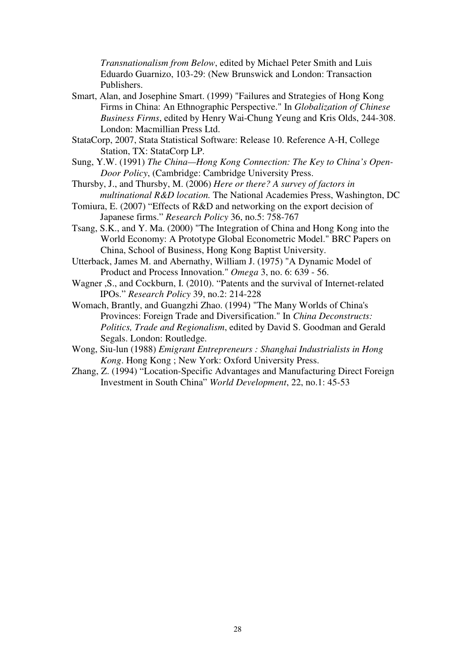*Transnationalism from Below*, edited by Michael Peter Smith and Luis Eduardo Guarnizo, 103-29: (New Brunswick and London: Transaction Publishers.

- Smart, Alan, and Josephine Smart. (1999) "Failures and Strategies of Hong Kong Firms in China: An Ethnographic Perspective." In *Globalization of Chinese Business Firms*, edited by Henry Wai-Chung Yeung and Kris Olds, 244-308. London: Macmillian Press Ltd.
- StataCorp, 2007, Stata Statistical Software: Release 10. Reference A-H, College Station, TX: StataCorp LP.
- Sung, Y.W. (1991) *The China—Hong Kong Connection: The Key to China's Open-Door Policy*, (Cambridge: Cambridge University Press.
- Thursby, J., and Thursby, M. (2006) *Here or there? A survey of factors in multinational R&D location.* The National Academies Press, Washington, DC
- Tomiura, E. (2007) "Effects of R&D and networking on the export decision of Japanese firms." *Research Policy* 36, no.5: 758-767
- Tsang, S.K., and Y. Ma. (2000) "The Integration of China and Hong Kong into the World Economy: A Prototype Global Econometric Model." BRC Papers on China, School of Business, Hong Kong Baptist University.
- Utterback, James M. and Abernathy, William J. (1975) "A Dynamic Model of Product and Process Innovation." *Omega* 3, no. 6: 639 - 56.
- Wagner ,S., and Cockburn, I. (2010). "Patents and the survival of Internet-related IPOs." *Research Policy* 39, no.2: 214-228
- Womach, Brantly, and Guangzhi Zhao. (1994) "The Many Worlds of China's Provinces: Foreign Trade and Diversification." In *China Deconstructs: Politics, Trade and Regionalism*, edited by David S. Goodman and Gerald Segals. London: Routledge.
- Wong, Siu-lun (1988) *Emigrant Entrepreneurs : Shanghai Industrialists in Hong Kong*. Hong Kong ; New York: Oxford University Press.
- Zhang, Z. (1994) "Location-Specific Advantages and Manufacturing Direct Foreign Investment in South China" *World Development*, 22, no.1: 45-53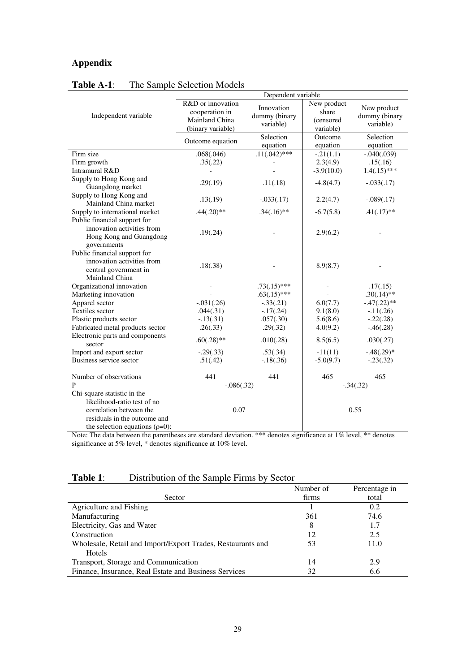# **Appendix**

|                                       | Dependent variable |                 |              |                |  |
|---------------------------------------|--------------------|-----------------|--------------|----------------|--|
|                                       | R&D or innovation  | Innovation      | New product  | New product    |  |
| Independent variable                  | cooperation in     | dummy (binary   | share        | dummy (binary  |  |
|                                       | Mainland China     | variable)       | (censored    | variable)      |  |
|                                       | (binary variable)  |                 | variable)    |                |  |
|                                       | Outcome equation   | Selection       | Outcome      | Selection      |  |
|                                       |                    | equation        | equation     | equation       |  |
| Firm size                             | .068(.046)         | $.11(.042)$ *** | $-.21(1.1)$  | $-.040(.039)$  |  |
| Firm growth                           | .35(.22)           |                 | 2.3(4.9)     | .15(.16)       |  |
| Intramural R&D                        |                    |                 | $-3.9(10.0)$ | $1.4(.15)$ *** |  |
| Supply to Hong Kong and               | .29(.19)           | .11(.18)        | $-4.8(4.7)$  | $-.033(.17)$   |  |
| Guangdong market                      |                    |                 |              |                |  |
| Supply to Hong Kong and               |                    | $-.033(.17)$    | 2.2(4.7)     | $-.089(.17)$   |  |
| Mainland China market                 | .13(.19)           |                 |              |                |  |
| Supply to international market        | $.44(.20)$ **      | $.34(.16)$ **   | $-6.7(5.8)$  | $.41(.17)$ **  |  |
| Public financial support for          |                    |                 |              |                |  |
| innovation activities from            | .19(.24)           |                 | 2.9(6.2)     |                |  |
| Hong Kong and Guangdong               |                    |                 |              |                |  |
| governments                           |                    |                 |              |                |  |
| Public financial support for          |                    |                 |              |                |  |
| innovation activities from            | .18(.38)           |                 | 8.9(8.7)     |                |  |
| central government in                 |                    |                 |              |                |  |
| Mainland China                        |                    |                 |              |                |  |
| Organizational innovation             |                    | $.73(.15)$ ***  |              | .17(.15)       |  |
| Marketing innovation                  |                    | $.63(.15)$ ***  |              | $.30(.14)$ **  |  |
| Apparel sector                        | $-.031(.26)$       | $-.33(.21)$     | 6.0(7.7)     | $-.47(.22)**$  |  |
| Textiles sector                       | .044(.31)          | $-17(.24)$      | 9.1(8.0)     | $-11(.26)$     |  |
| Plastic products sector               | $-.13(.31)$        | .057(.30)       | 5.6(8.6)     | $-.22(.28)$    |  |
| Fabricated metal products sector      | .26(.33)           | .29(.32)        | 4.0(9.2)     | $-.46(.28)$    |  |
| Electronic parts and components       | $.60(.28)$ **      | .010(.28)       | 8.5(6.5)     | .030(.27)      |  |
| sector                                |                    |                 |              |                |  |
| Import and export sector              | $-.29(.33)$        | .53(.34)        | $-11(11)$    | $-.48(.29)*$   |  |
| Business service sector               | .51(.42)           | $-18(.36)$      | $-5.0(9.7)$  | $-.23(.32)$    |  |
| Number of observations                | 441                | 441             | 465          | 465            |  |
| P                                     | $-.086(.32)$       |                 | $-.34(.32)$  |                |  |
| Chi-square statistic in the           |                    |                 |              |                |  |
| likelihood-ratio test of no           |                    |                 |              |                |  |
| correlation between the               | 0.07               |                 |              | 0.55           |  |
| residuals in the outcome and          |                    |                 |              |                |  |
| the selection equations ( $\rho=0$ ): |                    |                 |              |                |  |

# **Table A-1**: The Sample Selection Models

Note: The data between the parentheses are standard deviation. \*\*\* denotes significance at 1% level, \*\* denotes significance at 5% level, \* denotes significance at 10% level.

# **Table 1**: Distribution of the Sample Firms by Sector

|                                                             | Number of | Percentage in |
|-------------------------------------------------------------|-----------|---------------|
| Sector                                                      | firms     | total         |
| Agriculture and Fishing                                     |           | 0.2           |
| Manufacturing                                               | 361       | 74.6          |
| Electricity, Gas and Water                                  | 8         | 1.7           |
| Construction                                                | 12        | 2.5           |
| Wholesale, Retail and Import/Export Trades, Restaurants and | 53        | 11.0          |
| <b>Hotels</b>                                               |           |               |
| Transport, Storage and Communication                        | 14        | 2.9           |
| Finance, Insurance, Real Estate and Business Services       | 32        | 6.6           |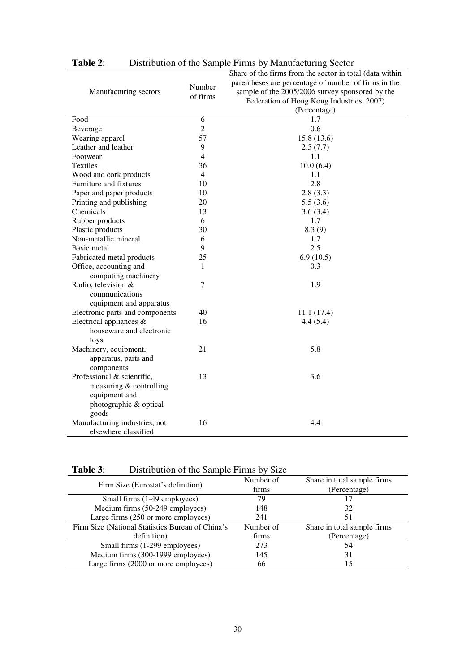|                                 |                    | Share of the firms from the sector in total (data within |
|---------------------------------|--------------------|----------------------------------------------------------|
|                                 | Number<br>of firms | parentheses are percentage of number of firms in the     |
| Manufacturing sectors           |                    | sample of the 2005/2006 survey sponsored by the          |
|                                 |                    | Federation of Hong Kong Industries, 2007)                |
|                                 |                    | (Percentage)                                             |
| Food                            | 6                  | 1.7                                                      |
| Beverage                        | $\overline{2}$     | 0.6                                                      |
| Wearing apparel                 | 57                 | 15.8(13.6)                                               |
| Leather and leather             | 9                  | 2.5(7.7)                                                 |
| Footwear                        | $\overline{4}$     | 1.1                                                      |
| <b>Textiles</b>                 | 36                 | 10.0(6.4)                                                |
| Wood and cork products          | $\overline{4}$     | 1.1                                                      |
| Furniture and fixtures          | 10                 | 2.8                                                      |
| Paper and paper products        | 10                 | 2.8(3.3)                                                 |
| Printing and publishing         | 20                 | 5.5(3.6)                                                 |
| Chemicals                       | 13                 | 3.6(3.4)                                                 |
| Rubber products                 | 6                  | 1.7                                                      |
| Plastic products                | 30                 | 8.3(9)                                                   |
| Non-metallic mineral            | 6                  | 1.7                                                      |
| Basic metal                     | 9                  | 2.5                                                      |
| Fabricated metal products       | 25                 | 6.9(10.5)                                                |
| Office, accounting and          | $\mathbf{1}$       | 0.3                                                      |
| computing machinery             |                    |                                                          |
| Radio, television &             | $\overline{7}$     | 1.9                                                      |
| communications                  |                    |                                                          |
| equipment and apparatus         |                    |                                                          |
| Electronic parts and components | 40                 | 11.1(17.4)                                               |
| Electrical appliances &         | 16                 | 4.4(5.4)                                                 |
| houseware and electronic        |                    |                                                          |
| toys                            |                    |                                                          |
| Machinery, equipment,           | 21                 | 5.8                                                      |
| apparatus, parts and            |                    |                                                          |
| components                      |                    |                                                          |
| Professional & scientific,      | 13                 | 3.6                                                      |
| measuring $&$ controlling       |                    |                                                          |
| equipment and                   |                    |                                                          |
| photographic & optical          |                    |                                                          |
| goods                           |                    |                                                          |
| Manufacturing industries, not   | 16                 | 4.4                                                      |
| elsewhere classified            |                    |                                                          |

**Table 2**: Distribution of the Sample Firms by Manufacturing Sector

| Table 3: | Distribution of the Sample Firms by Size |  |  |
|----------|------------------------------------------|--|--|
|          |                                          |  |  |

| Firm Size (Eurostat's definition)                | Number of | Share in total sample firms |
|--------------------------------------------------|-----------|-----------------------------|
|                                                  | firms     | (Percentage)                |
| Small firms (1-49 employees)                     | 79        | 17                          |
| Medium firms (50-249 employees)                  | 148       | 32                          |
| Large firms (250 or more employees)              | 241       | 51                          |
| Firm Size (National Statistics Bureau of China's | Number of | Share in total sample firms |
| definition)                                      | firms     | (Percentage)                |
| Small firms (1-299 employees)                    | 273       | 54                          |
| Medium firms (300-1999 employees)                | 145       | 31                          |
| Large firms (2000 or more employees)             | 66        | 15                          |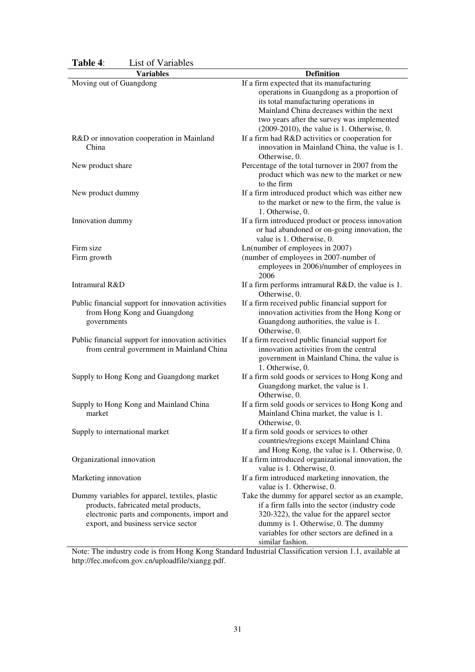| 1 аніс 4.<br>LIST VI VALIAVIUS                     |                                                                                             |
|----------------------------------------------------|---------------------------------------------------------------------------------------------|
| <b>Variables</b>                                   | <b>Definition</b>                                                                           |
| Moving out of Guangdong                            | If a firm expected that its manufacturing                                                   |
|                                                    | operations in Guangdong as a proportion of                                                  |
|                                                    | its total manufacturing operations in                                                       |
|                                                    | Mainland China decreases within the next                                                    |
|                                                    | two years after the survey was implemented<br>$(2009-2010)$ , the value is 1. Otherwise, 0. |
| R&D or innovation cooperation in Mainland          | If a firm had R&D activities or cooperation for                                             |
| China                                              | innovation in Mainland China, the value is 1.<br>Otherwise, 0.                              |
| New product share                                  | Percentage of the total turnover in 2007 from the                                           |
|                                                    | product which was new to the market or new<br>to the firm                                   |
| New product dummy                                  | If a firm introduced product which was either new                                           |
|                                                    | to the market or new to the firm, the value is<br>1. Otherwise, 0.                          |
| Innovation dummy                                   | If a firm introduced product or process innovation                                          |
|                                                    | or had abandoned or on-going innovation, the<br>value is 1. Otherwise, 0.                   |
| Firm size                                          | Ln(number of employees in 2007)                                                             |
| Firm growth                                        | (number of employees in 2007-number of                                                      |
|                                                    | employees in 2006)/number of employees in<br>2006                                           |
| Intramural R&D                                     | If a firm performs intramural R&D, the value is 1.                                          |
|                                                    | Otherwise, 0.                                                                               |
| Public financial support for innovation activities | If a firm received public financial support for                                             |
| from Hong Kong and Guangdong                       | innovation activities from the Hong Kong or                                                 |
| governments                                        | Guangdong authorities, the value is 1.                                                      |
|                                                    | Otherwise, 0.                                                                               |
| Public financial support for innovation activities | If a firm received public financial support for                                             |
| from central government in Mainland China          | innovation activities from the central                                                      |
|                                                    | government in Mainland China, the value is                                                  |
|                                                    | 1. Otherwise, 0.                                                                            |
| Supply to Hong Kong and Guangdong market           | If a firm sold goods or services to Hong Kong and                                           |
|                                                    | Guangdong market, the value is 1.                                                           |
|                                                    | Otherwise, 0.                                                                               |
| Supply to Hong Kong and Mainland China             | If a firm sold goods or services to Hong Kong and                                           |
| market                                             | Mainland China market, the value is 1.                                                      |
|                                                    | Otherwise, 0.                                                                               |
| Supply to international market                     | If a firm sold goods or services to other                                                   |
|                                                    | countries/regions except Mainland China                                                     |
|                                                    | and Hong Kong, the value is 1. Otherwise, 0.                                                |
| Organizational innovation                          | If a firm introduced organizational innovation, the                                         |
|                                                    | value is 1. Otherwise, 0.                                                                   |
| Marketing innovation                               | If a firm introduced marketing innovation, the                                              |
|                                                    | value is 1. Otherwise, 0.                                                                   |
| Dummy variables for apparel, textiles, plastic     | Take the dummy for apparel sector as an example,                                            |
| products, fabricated metal products,               | if a firm falls into the sector (industry code                                              |
| electronic parts and components, import and        | 320-322), the value for the apparel sector                                                  |
| export, and business service sector                | dummy is 1. Otherwise, 0. The dummy                                                         |
|                                                    | variables for other sectors are defined in a                                                |
|                                                    | similar fashion.                                                                            |

**Table 4**: List of Variables

Note: The industry code is from Hong Kong Standard Industrial Classification version 1.1, available at http://fec.mofcom.gov.cn/uploadfile/xiangg.pdf.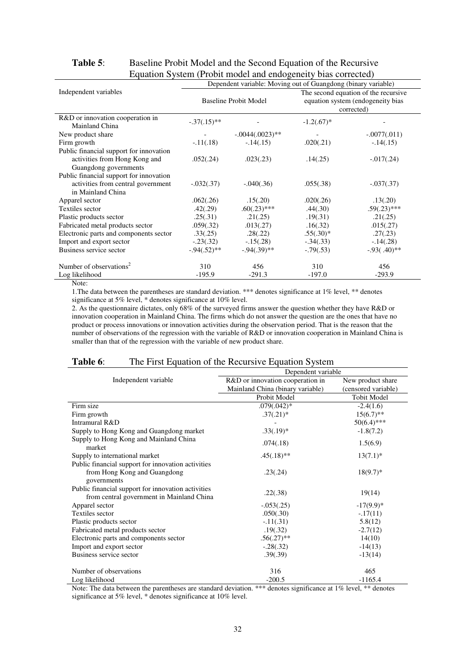| $q$ aanon o $q$ oloni (11001) moder and endogenery onlo eorreeted<br>Dependent variable: Moving out of Guangdong (binary variable) |                              |                   |                                                                                         |                |
|------------------------------------------------------------------------------------------------------------------------------------|------------------------------|-------------------|-----------------------------------------------------------------------------------------|----------------|
| Independent variables                                                                                                              | <b>Baseline Probit Model</b> |                   | The second equation of the recursive<br>equation system (endogeneity bias<br>corrected) |                |
| R&D or innovation cooperation in<br>Mainland China                                                                                 | $-.37(.15)**$                |                   | $-1.2(.67)$ *                                                                           |                |
| New product share                                                                                                                  |                              | $-.0044(.0023)**$ |                                                                                         | $-.0077(.011)$ |
| Firm growth                                                                                                                        | $-.11(.18)$                  | $-14(0.15)$       | .020(.21)                                                                               | $-.14(.15)$    |
| Public financial support for innovation                                                                                            |                              |                   |                                                                                         |                |
| activities from Hong Kong and                                                                                                      | .052(.24)                    | .023(.23)         | .14(.25)                                                                                | $-.017(.24)$   |
| Guangdong governments                                                                                                              |                              |                   |                                                                                         |                |
| Public financial support for innovation                                                                                            |                              |                   |                                                                                         |                |
| activities from central government                                                                                                 | $-.032(.37)$                 | $-.040(.36)$      | .055(.38)                                                                               | $-.037(.37)$   |
| in Mainland China                                                                                                                  |                              |                   |                                                                                         |                |
| Apparel sector                                                                                                                     | .062(.26)                    | .15(.20)          | .020(.26)                                                                               | .13(.20)       |
| Textiles sector                                                                                                                    | .42(.29)                     | $.60(.23)$ ***    | .44(.30)                                                                                | $.59(.23)$ *** |
| Plastic products sector                                                                                                            | .25(.31)                     | .21(.25)          | .19(.31)                                                                                | .21(.25)       |
| Fabricated metal products sector                                                                                                   | .059(.32)                    | .013(.27)         | .16(.32)                                                                                | .015(.27)      |
| Electronic parts and components sector                                                                                             | .33(.25)                     | .28(.22)          | $.55(.30)*$                                                                             | .27(.23)       |
| Import and export sector                                                                                                           | $-.23(.32)$                  | $-15(.28)$        | $-.34(.33)$                                                                             | $-.14(.28)$    |
| Business service sector                                                                                                            | $-.94(.52)**$                | $-0.94(0.39)$ **  | $-.79(.53)$                                                                             | $-.93(.40)$ ** |
| Number of observations <sup>2</sup>                                                                                                | 310                          | 456               | 310                                                                                     | 456            |
| Log likelihood                                                                                                                     | $-195.9$                     | $-291.3$          | $-197.0$                                                                                | $-293.9$       |

## **Table 5**: Baseline Probit Model and the Second Equation of the Recursive Equation System (Probit model and endogeneity bias corrected)

Note:

1.The data between the parentheses are standard deviation. \*\*\* denotes significance at 1% level, \*\* denotes significance at 5% level, \* denotes significance at 10% level.

2. As the questionnaire dictates, only  $68\%$  of the surveyed firms answer the question whether they have R&D or innovation cooperation in Mainland China. The firms which do not answer the question are the ones that have no product or process innovations or innovation activities during the observation period. That is the reason that the number of observations of the regression with the variable of R&D or innovation cooperation in Mainland China is smaller than that of the regression with the variable of new product share.

## **Table 6:** The First Equation of the Recursive Equation System

|                                                                                                   | Dependent variable               |                     |  |  |
|---------------------------------------------------------------------------------------------------|----------------------------------|---------------------|--|--|
| Independent variable                                                                              | R&D or innovation cooperation in | New product share   |  |  |
|                                                                                                   | Mainland China (binary variable) | (censored variable) |  |  |
|                                                                                                   | Probit Model                     | <b>Tobit Model</b>  |  |  |
| Firm size                                                                                         | $.079(.042)*$                    | $-2.4(1.6)$         |  |  |
| Firm growth                                                                                       | $.37(.21)*$                      | $15(6.7)$ **        |  |  |
| Intramural R&D                                                                                    |                                  | $50(6.4)$ ***       |  |  |
| Supply to Hong Kong and Guangdong market                                                          | $.33(.19)*$                      | $-1.8(7.2)$         |  |  |
| Supply to Hong Kong and Mainland China<br>market                                                  | .074(.18)                        | 1.5(6.9)            |  |  |
| Supply to international market                                                                    | $.45(.18)$ **                    | $13(7.1)^*$         |  |  |
| Public financial support for innovation activities<br>from Hong Kong and Guangdong<br>governments | .23(.24)                         | $18(9.7)^*$         |  |  |
| Public financial support for innovation activities<br>from central government in Mainland China   | .22(.38)                         | 19(14)              |  |  |
| Apparel sector                                                                                    | $-.053(.25)$                     | $-17(9.9)^*$        |  |  |
| Textiles sector                                                                                   | .050(.30)                        | $-.17(11)$          |  |  |
| Plastic products sector                                                                           | $-11(.31)$                       | 5.8(12)             |  |  |
| Fabricated metal products sector                                                                  | .19(.32)                         | $-2.7(12)$          |  |  |
| Electronic parts and components sector                                                            | $.56(.27)$ **                    | 14(10)              |  |  |
| Import and export sector                                                                          | $-.28(.32)$                      | $-14(13)$           |  |  |
| Business service sector                                                                           | .39(.39)                         | $-13(14)$           |  |  |
| Number of observations                                                                            | 316                              | 465                 |  |  |
| Log likelihood                                                                                    | $-200.5$                         | $-1165.4$           |  |  |

Note: The data between the parentheses are standard deviation. \*\*\* denotes significance at 1% level, \*\* denotes significance at 5% level, \* denotes significance at 10% level.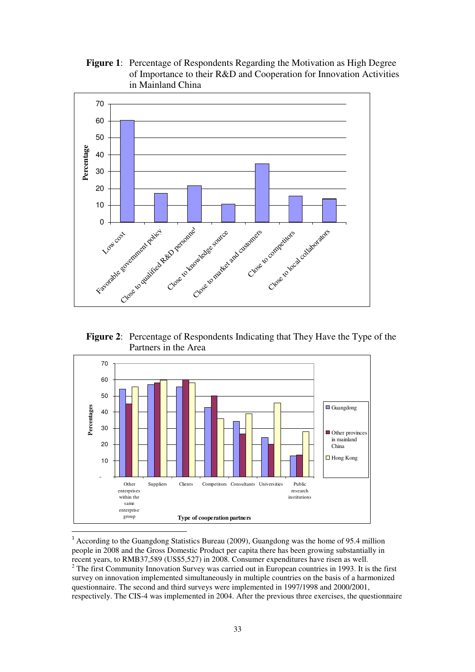**Figure 1**: Percentage of Respondents Regarding the Motivation as High Degree of Importance to their R&D and Cooperation for Innovation Activities in Mainland China



**Figure 2**: Percentage of Respondents Indicating that They Have the Type of the Partners in the Area



<sup>1</sup> According to the Guangdong Statistics Bureau (2009), Guangdong was the home of 95.4 million people in 2008 and the Gross Domestic Product per capita there has been growing substantially in recent years, to RMB37,589 (US\$5,527) in 2008. Consumer expenditures have risen as well.  $2^2$  The first Community Innovation Survey was carried out in European countries in 1993. It is the first survey on innovation implemented simultaneously in multiple countries on the basis of a harmonized questionnaire. The second and third surveys were implemented in 1997/1998 and 2000/2001, respectively. The CIS-4 was implemented in 2004. After the previous three exercises, the questionnaire